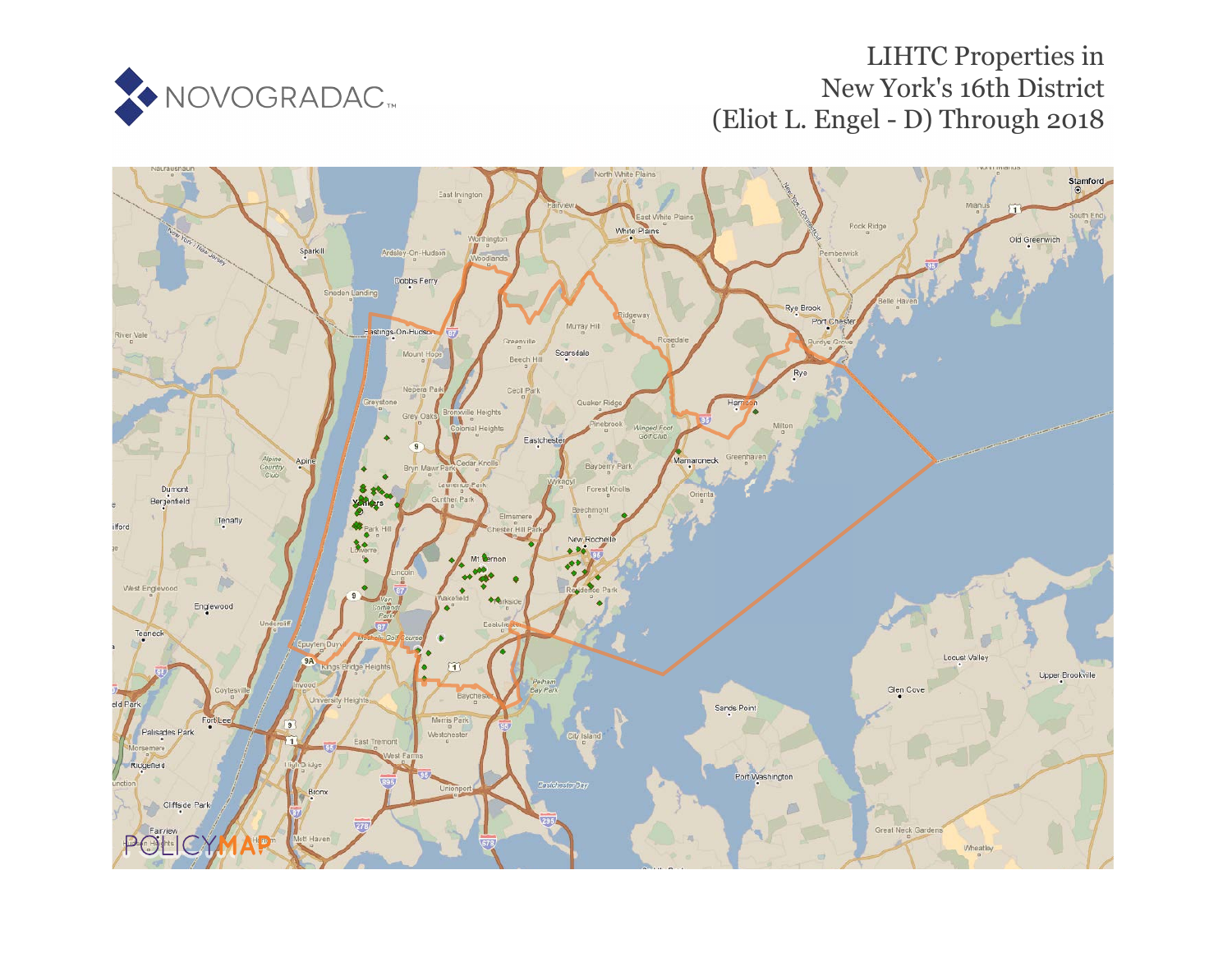

# LIHTC Properties in New York's 16th District (Eliot L. Engel - D) Through 2018

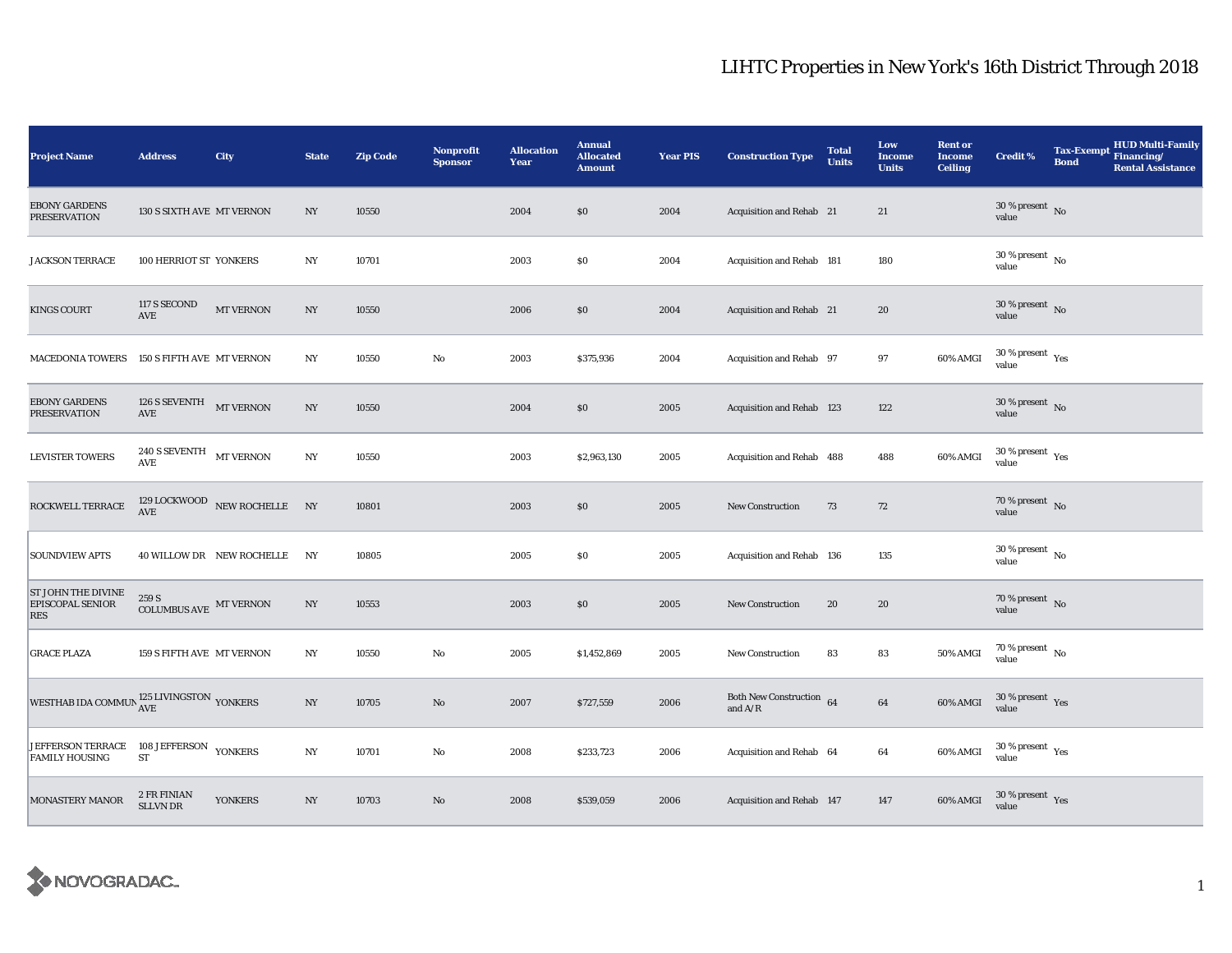| <b>Project Name</b>                                              | <b>Address</b>                                  | City                                           | <b>State</b>     | <b>Zip Code</b> | <b>Nonprofit</b><br><b>Sponsor</b> | <b>Allocation</b><br>Year | <b>Annual</b><br><b>Allocated</b><br><b>Amount</b> | <b>Year PIS</b> | <b>Construction Type</b>                                                          | <b>Total</b><br><b>Units</b> | Low<br><b>Income</b><br><b>Units</b> | <b>Rent or</b><br><b>Income</b><br><b>Ceiling</b> | <b>Credit %</b>                               | <b>Bond</b> | <b>HUD Multi-Family</b><br>Tax-Exempt Financing/<br><b>Rental Assistance</b> |
|------------------------------------------------------------------|-------------------------------------------------|------------------------------------------------|------------------|-----------------|------------------------------------|---------------------------|----------------------------------------------------|-----------------|-----------------------------------------------------------------------------------|------------------------------|--------------------------------------|---------------------------------------------------|-----------------------------------------------|-------------|------------------------------------------------------------------------------|
| <b>EBONY GARDENS</b><br><b>PRESERVATION</b>                      | 130 S SIXTH AVE MT VERNON                       |                                                | NY               | 10550           |                                    | 2004                      | \$0                                                | 2004            | Acquisition and Rehab 21                                                          |                              | 21                                   |                                                   | $30$ % present $\,$ No $\,$<br>value          |             |                                                                              |
| <b>JACKSON TERRACE</b>                                           | 100 HERRIOT ST YONKERS                          |                                                | $_{\mathrm{NY}}$ | 10701           |                                    | 2003                      | \$0                                                | 2004            | Acquisition and Rehab 181                                                         |                              | 180                                  |                                                   | $30\,\%$ present $\,$ No $\,$<br>value        |             |                                                                              |
| <b>KINGS COURT</b>                                               | 117 S SECOND<br>$\operatorname{AVE}$            | $\operatorname{MT}$ VERNON                     | NY               | 10550           |                                    | 2006                      | \$0                                                | 2004            | Acquisition and Rehab 21                                                          |                              | 20                                   |                                                   | 30 % present $\overline{N_0}$<br>value        |             |                                                                              |
| <b>MACEDONIA TOWERS</b>                                          | 150 S FIFTH AVE MT VERNON                       |                                                | $_{\mathrm{NY}}$ | 10550           | $\mathbf{No}$                      | 2003                      | \$375,936                                          | 2004            | Acquisition and Rehab 97                                                          |                              | 97                                   | 60% AMGI                                          | $30$ % present $\rm\thinspace_{Yes}$<br>value |             |                                                                              |
| <b>EBONY GARDENS</b><br><b>PRESERVATION</b>                      | 126 S SEVENTH MT VERNON<br>$\operatorname{AVE}$ |                                                | NY               | 10550           |                                    | 2004                      | \$0                                                | 2005            | Acquisition and Rehab 123                                                         |                              | 122                                  |                                                   | $30$ % present $\,$ No $\,$<br>value          |             |                                                                              |
| <b>LEVISTER TOWERS</b>                                           | $240$ S SEVENTH $$\rm MT$ VERNON<br>AVE         |                                                | N <sub>Y</sub>   | 10550           |                                    | 2003                      | \$2,963,130                                        | 2005            | Acquisition and Rehab 488                                                         |                              | 488                                  | 60% AMGI                                          | 30 % present $\rm \gamma_{\rm es}$<br>value   |             |                                                                              |
| ROCKWELL TERRACE                                                 |                                                 | $129\,$ LOCKWOOD $\,$ NEW ROCHELLE $\,$ NY AVE |                  | 10801           |                                    | 2003                      | \$0                                                | 2005            | <b>New Construction</b>                                                           | 73                           | 72                                   |                                                   | 70 % present $\hbox{~No}$<br>value            |             |                                                                              |
| <b>SOUNDVIEW APTS</b>                                            |                                                 | 40 WILLOW DR NEW ROCHELLE                      | N <sub>Y</sub>   | 10805           |                                    | 2005                      | \$0                                                | 2005            | Acquisition and Rehab 136                                                         |                              | 135                                  |                                                   | $30\,\%$ present $\,$ No value                |             |                                                                              |
| ST JOHN THE DIVINE<br>EPISCOPAL SENIOR<br>RES                    | 259 S<br>COLUMBUS AVE $\,$ MT VERNON            |                                                | NY               | 10553           |                                    | 2003                      | \$0                                                | 2005            | New Construction                                                                  | 20                           | 20                                   |                                                   | 70 % present $\overline{N}$<br>value          |             |                                                                              |
| <b>GRACE PLAZA</b>                                               | 159 S FIFTH AVE MT VERNON                       |                                                | N <sub>Y</sub>   | 10550           | $\mathbf{No}$                      | 2005                      | \$1,452,869                                        | 2005            | <b>New Construction</b>                                                           | 83                           | 83                                   | 50% AMGI                                          | $70$ % present $\,$ No $\,$<br>value          |             |                                                                              |
| WESTHAB IDA COMMUN $^{125\ \rm LIVINGSTON}_{\rm AVE}$ YONKERS    |                                                 |                                                | $_{\mathrm{NY}}$ | 10705           | $\mathbf{N}\mathbf{o}$             | 2007                      | \$727,559                                          | 2006            | Both New Construction 64<br>and $\ensuremath{\mathrm{A}}/\ensuremath{\mathrm{R}}$ |                              | 64                                   | 60% AMGI                                          | $30\,\%$ present $\,$ $\,$ Yes<br>value       |             |                                                                              |
| JEFFERSON TERRACE 108 JEFFERSON YONKERS<br><b>FAMILY HOUSING</b> | ST                                              |                                                | N <sub>Y</sub>   | 10701           | No                                 | 2008                      | \$233,723                                          | 2006            | Acquisition and Rehab 64                                                          |                              | 64                                   | 60% AMGI                                          | $30$ % present $\rm\thinspace\,Yes$<br>value  |             |                                                                              |
| <b>MONASTERY MANOR</b>                                           | 2 FR FINIAN<br><b>SLLVN DR</b>                  | <b>YONKERS</b>                                 | $_{\mathrm{NY}}$ | 10703           | $\mathbf{No}$                      | 2008                      | \$539,059                                          | 2006            | Acquisition and Rehab 147                                                         |                              | 147                                  | 60% AMGI                                          | $30\,\%$ present $\,$ Yes value               |             |                                                                              |

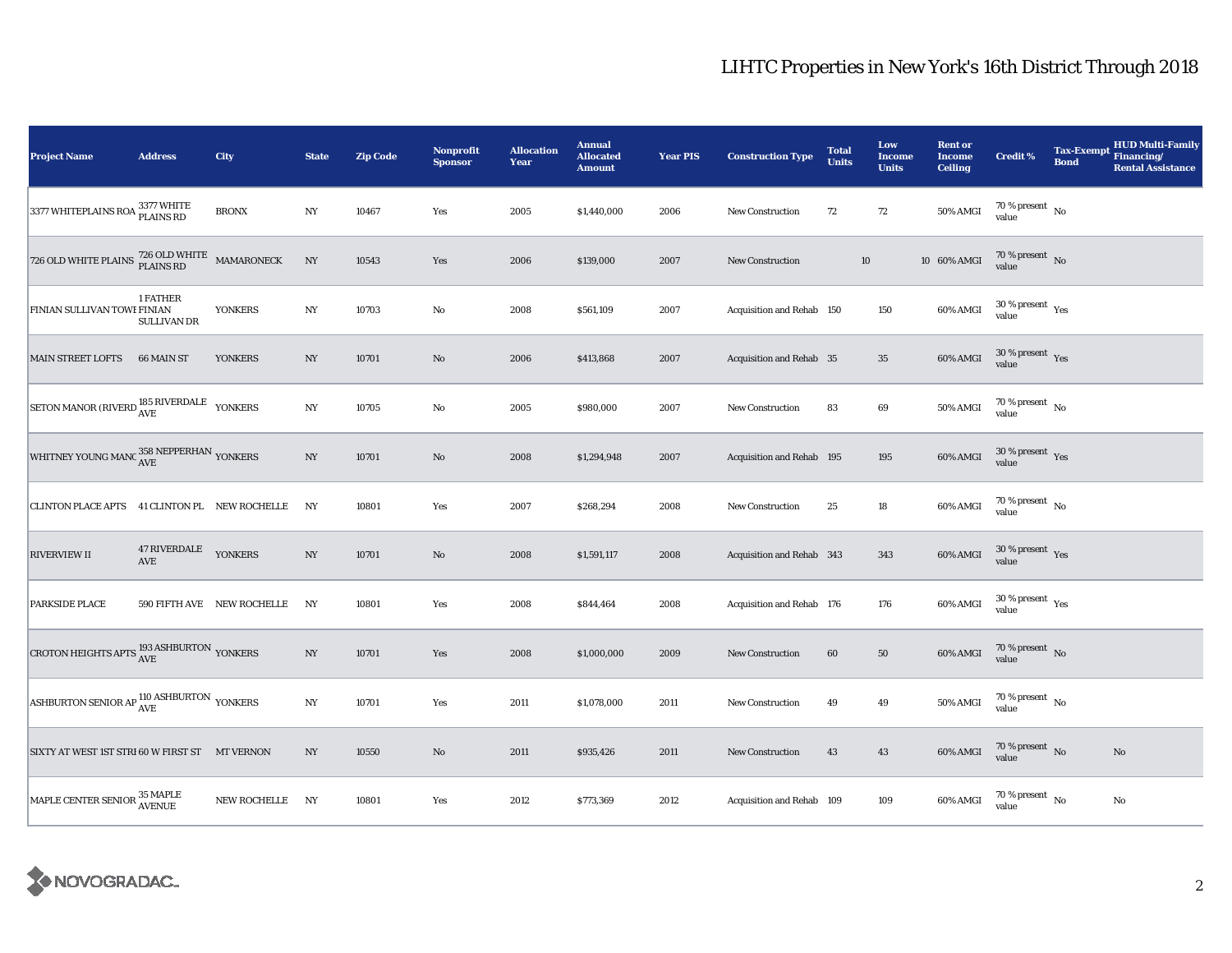| <b>Project Name</b>                                               | <b>Address</b>                 | City                       | <b>State</b>     | <b>Zip Code</b> | <b>Nonprofit</b><br><b>Sponsor</b> | <b>Allocation</b><br>Year | <b>Annual</b><br><b>Allocated</b><br><b>Amount</b> | <b>Year PIS</b> | <b>Construction Type</b>  | <b>Total</b><br><b>Units</b> | Low<br><b>Income</b><br><b>Units</b> | <b>Rent or</b><br><b>Income</b><br><b>Ceiling</b> | <b>Credit %</b>                      | <b>Bond</b> | <b>HUD Multi-Family</b><br>Tax-Exempt Financing/<br><b>Rental Assistance</b> |
|-------------------------------------------------------------------|--------------------------------|----------------------------|------------------|-----------------|------------------------------------|---------------------------|----------------------------------------------------|-----------------|---------------------------|------------------------------|--------------------------------------|---------------------------------------------------|--------------------------------------|-------------|------------------------------------------------------------------------------|
| 3377 WHITEPLAINS ROA <sup>3377</sup> WHITE                        |                                | <b>BRONX</b>               | $_{\mathrm{NY}}$ | 10467           | Yes                                | 2005                      | \$1,440,000                                        | 2006            | New Construction          | 72                           | $72\,$                               | 50% AMGI                                          | $70\,\%$ present $\,$ No value       |             |                                                                              |
| 726 OLD WHITE PLAINS $\frac{726}{\rm PLAINS}$ RD MAMARONECK       |                                |                            | $_{\mathrm{NY}}$ | 10543           | Yes                                | 2006                      | \$139,000                                          | 2007            | <b>New Construction</b>   |                              | $10\,$                               | 10 60% AMGI                                       | $70$ % present $\,$ No $\,$<br>value |             |                                                                              |
| FINIAN SULLIVAN TOWE FINIAN                                       | 1 FATHER<br><b>SULLIVAN DR</b> | <b>YONKERS</b>             | $_{\mathrm{NY}}$ | 10703           | No                                 | 2008                      | \$561,109                                          | 2007            | Acquisition and Rehab 150 |                              | 150                                  | $60\%$ AMGI                                       | $30\,\%$ present $\,$ Yes value      |             |                                                                              |
| <b>MAIN STREET LOFTS</b>                                          | 66 MAIN ST                     | <b>YONKERS</b>             | $_{\mathrm{NY}}$ | 10701           | $\rm No$                           | 2006                      | \$413,868                                          | 2007            | Acquisition and Rehab 35  |                              | $35\,$                               | 60% AMGI                                          | $30\,\%$ present $\,$ Yes value      |             |                                                                              |
| SETON MANOR (RIVERD $_{\rm AVE}^{185\rm ~RIVERDALE}$ $\,$ YONKERS |                                |                            | $_{\mathrm{NY}}$ | 10705           | $\rm No$                           | 2005                      | \$980,000                                          | 2007            | <b>New Construction</b>   | 83                           | 69                                   | 50% AMGI                                          | $70\,\%$ present $\,$ No value       |             |                                                                              |
| WHITNEY YOUNG MANC $_{\rm AVE}^{358\text{ NEPPERHAN}}$ YONKERS    |                                |                            | $_{\mathrm{NY}}$ | 10701           | $\rm No$                           | 2008                      | \$1,294,948                                        | 2007            | Acquisition and Rehab 195 |                              | 195                                  | 60% AMGI                                          | $30\,\%$ present $\,$ Yes value      |             |                                                                              |
| CLINTON PLACE APTS 41 CLINTON PL NEW ROCHELLE                     |                                |                            | NY               | 10801           | Yes                                | 2007                      | \$268,294                                          | 2008            | New Construction          | 25                           | $18\,$                               | 60% AMGI                                          | $70\,\%$ present $\,$ No value       |             |                                                                              |
| <b>RIVERVIEW II</b>                                               | 47 RIVERDALE YONKERS<br>AVE    |                            | $_{\mathrm{NY}}$ | 10701           | $\rm No$                           | 2008                      | \$1,591,117                                        | 2008            | Acquisition and Rehab 343 |                              | 343                                  | 60% AMGI                                          | $30\,\%$ present $\,$ Yes value      |             |                                                                              |
| <b>PARKSIDE PLACE</b>                                             |                                | 590 FIFTH AVE NEW ROCHELLE | NY               | 10801           | Yes                                | 2008                      | \$844,464                                          | 2008            | Acquisition and Rehab 176 |                              | 176                                  | 60% AMGI                                          | $30\,\%$ present $\,$ Yes value      |             |                                                                              |
| CROTON HEIGHTS APTS $^{193\, {\rm ASHBURTON}}_{\rm AVE}$ YONKERS  |                                |                            | NY               | 10701           | Yes                                | 2008                      | \$1,000,000                                        | 2009            | New Construction          | 60                           | 50                                   | 60% AMGI                                          | $70\,\%$ present $\,$ No value       |             |                                                                              |
| ASHBURTON SENIOR AP $_{\rm AVE}^{110 \, {\rm ASHBURTON}}$ YONKERS |                                |                            | $_{\mathrm{NY}}$ | 10701           | Yes                                | 2011                      | \$1,078,000                                        | 2011            | New Construction          | 49                           | 49                                   | 50% AMGI                                          | 70 % present $\hbox{~No}$<br>value   |             |                                                                              |
| SIXTY AT WEST 1ST STRI 60 W FIRST ST MT VERNON                    |                                |                            | $_{\mathrm{NY}}$ | 10550           | $\rm No$                           | 2011                      | \$935,426                                          | 2011            | <b>New Construction</b>   | 43                           | 43                                   | 60% AMGI                                          | $70\,\%$ present $\,$ No value       |             | $\mathbf{N}\mathbf{o}$                                                       |
| MAPLE CENTER SENIOR <sup>35</sup> MAPLE                           |                                | NEW ROCHELLE NY            |                  | 10801           | Yes                                | 2012                      | \$773,369                                          | 2012            | Acquisition and Rehab 109 |                              | 109                                  | 60% AMGI                                          | $70$ % present $\,$ No $\,$<br>value |             | $\rm No$                                                                     |

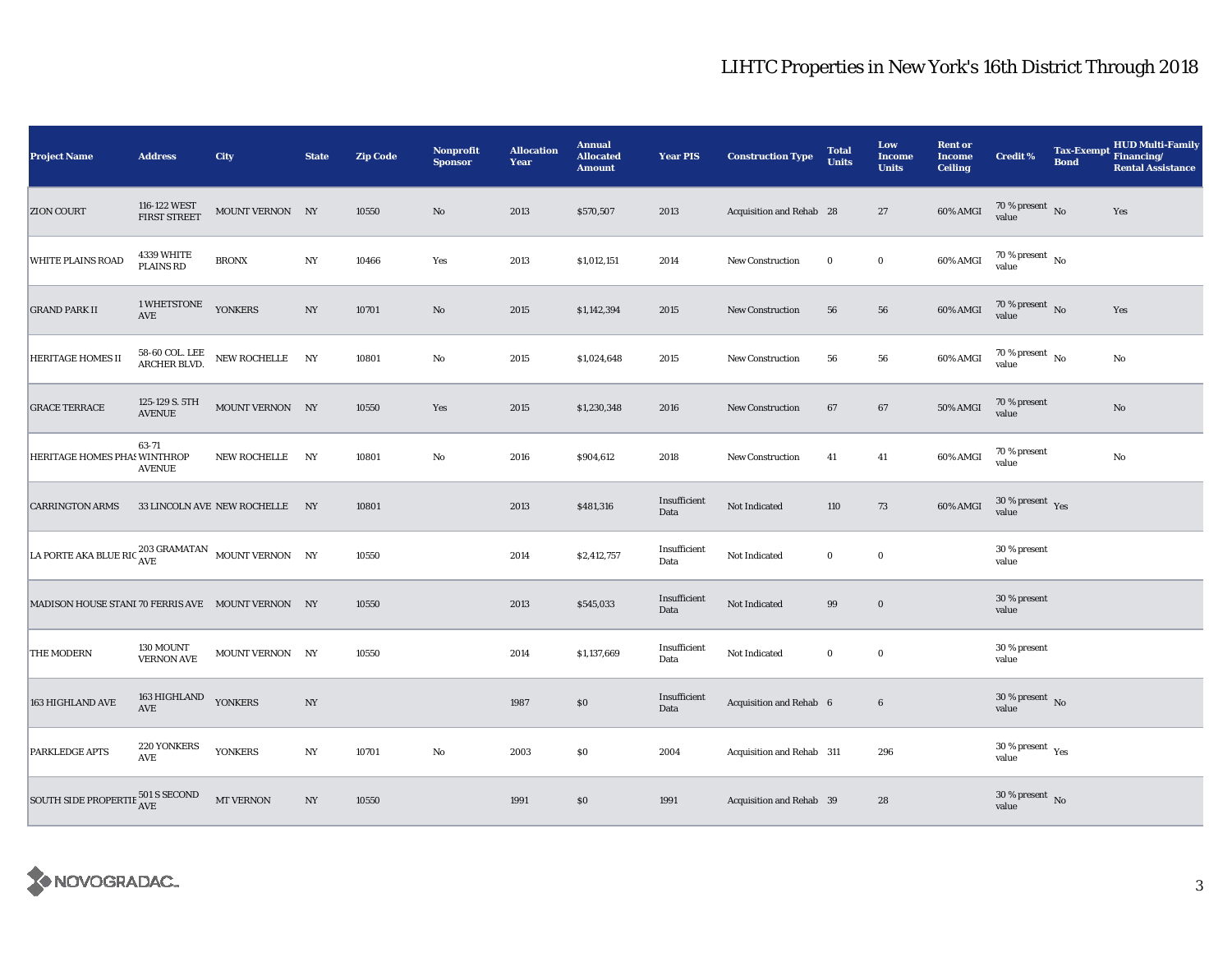| <b>Project Name</b>                                                             | <b>Address</b>                               | <b>City</b>                    | <b>State</b>     | <b>Zip Code</b> | Nonprofit<br><b>Sponsor</b> | <b>Allocation</b><br>Year | <b>Annual</b><br><b>Allocated</b><br><b>Amount</b> | <b>Year PIS</b>      | <b>Construction Type</b>  | <b>Total</b><br><b>Units</b> | Low<br><b>Income</b><br><b>Units</b> | <b>Rent or</b><br><b>Income</b><br><b>Ceiling</b> | Credit %                                    | Tax-Exempt Financing/<br><b>Bond</b> | HUD Multi-Family<br><b>Rental Assistance</b> |
|---------------------------------------------------------------------------------|----------------------------------------------|--------------------------------|------------------|-----------------|-----------------------------|---------------------------|----------------------------------------------------|----------------------|---------------------------|------------------------------|--------------------------------------|---------------------------------------------------|---------------------------------------------|--------------------------------------|----------------------------------------------|
| <b>ZION COURT</b>                                                               | 116-122 WEST<br><b>FIRST STREET</b>          | MOUNT VERNON NY                |                  | 10550           | $\mathbf{No}$               | 2013                      | \$570,507                                          | 2013                 | Acquisition and Rehab 28  |                              | $27\,$                               | 60% AMGI                                          | $70\,\%$ present $\,$ No value              |                                      | Yes                                          |
| <b>WHITE PLAINS ROAD</b>                                                        | 4339 WHITE<br><b>PLAINS RD</b>               | <b>BRONX</b>                   | $_{\mathrm{NY}}$ | 10466           | Yes                         | 2013                      | \$1,012,151                                        | 2014                 | <b>New Construction</b>   | $\mathbf{0}$                 | $\mathbf 0$                          | 60% AMGI                                          | $70$ % present $\,$ No $\,$<br>value        |                                      |                                              |
| <b>GRAND PARK II</b>                                                            | 1 WHETSTONE<br>AVE                           | <b>YONKERS</b>                 | $_{\mathrm{NY}}$ | 10701           | $\rm No$                    | 2015                      | \$1,142,394                                        | 2015                 | New Construction          | 56                           | 56                                   | 60% AMGI                                          | $70\,\%$ present $\,$ No value              |                                      | Yes                                          |
| <b>HERITAGE HOMES II</b>                                                        | 58-60 COL. LEE<br>ARCHER BLVD.               | NEW ROCHELLE NY                |                  | 10801           | $\mathbf{No}$               | 2015                      | \$1,024,648                                        | 2015                 | <b>New Construction</b>   | 56                           | 56                                   | 60% AMGI                                          | 70 % present $\hbox{~No}$<br>value          |                                      | No                                           |
| <b>GRACE TERRACE</b>                                                            | 125-129 S. 5TH<br><b>AVENUE</b>              | MOUNT VERNON NY                |                  | 10550           | Yes                         | 2015                      | \$1,230,348                                        | 2016                 | <b>New Construction</b>   | 67                           | 67                                   | 50% AMGI                                          | 70 % present<br>value                       |                                      | No                                           |
| HERITAGE HOMES PHAS WINTHROP                                                    | 63-71<br><b>AVENUE</b>                       | NEW ROCHELLE NY                |                  | 10801           | $\rm No$                    | 2016                      | \$904,612                                          | 2018                 | <b>New Construction</b>   | 41                           | 41                                   | 60% AMGI                                          | 70 % present<br>value                       |                                      | No                                           |
| <b>CARRINGTON ARMS</b>                                                          |                                              | 33 LINCOLN AVE NEW ROCHELLE NY |                  | 10801           |                             | 2013                      | \$481,316                                          | Insufficient<br>Data | Not Indicated             | 110                          | 73                                   | 60% AMGI                                          | $30\,\%$ present $\,$ Yes value             |                                      |                                              |
| LA PORTE AKA BLUE RIC $\frac{203 \text{ GRAMATAN}}{\text{AVE}}$ MOUNT VERNON NY |                                              |                                |                  | 10550           |                             | 2014                      | \$2,412,757                                        | Insufficient<br>Data | Not Indicated             | $\mathbf 0$                  | $\mathbf 0$                          |                                                   | 30 % present<br>value                       |                                      |                                              |
| MADISON HOUSE STANI 70 FERRIS AVE MOUNT VERNON NY                               |                                              |                                |                  | 10550           |                             | 2013                      | \$545,033                                          | Insufficient<br>Data | Not Indicated             | 99                           | $\bf{0}$                             |                                                   | 30 % present<br>value                       |                                      |                                              |
| <b>THE MODERN</b>                                                               | 130 MOUNT<br><b>VERNON AVE</b>               | MOUNT VERNON NY                |                  | 10550           |                             | 2014                      | \$1,137,669                                        | Insufficient<br>Data | Not Indicated             | $\bf{0}$                     | $\mathbf 0$                          |                                                   | 30 % present<br>value                       |                                      |                                              |
| 163 HIGHLAND AVE                                                                | 163 HIGHLAND<br><b>AVE</b>                   | <b>YONKERS</b>                 | NY               |                 |                             | 1987                      | \$0                                                | Insufficient<br>Data | Acquisition and Rehab 6   |                              | $6\phantom{.0}$                      |                                                   | $30\,\%$ present $\,$ No value              |                                      |                                              |
| PARKLEDGE APTS                                                                  | 220 YONKERS<br>$\operatorname{\mathsf{AVE}}$ | <b>YONKERS</b>                 | $_{\mathrm{NY}}$ | 10701           | $\rm No$                    | 2003                      | \$0                                                | 2004                 | Acquisition and Rehab 311 |                              | 296                                  |                                                   | 30 % present $\rm\thinspace_{Yes}$<br>value |                                      |                                              |
| SOUTH SIDE PROPERTIE $^{501\, {\rm S}$ SECOND AVE                               |                                              | <b>MT VERNON</b>               | $_{\mathrm{NY}}$ | 10550           |                             | 1991                      | \$0                                                | 1991                 | Acquisition and Rehab 39  |                              | 28                                   |                                                   | $30\,\%$ present $\,$ No value              |                                      |                                              |

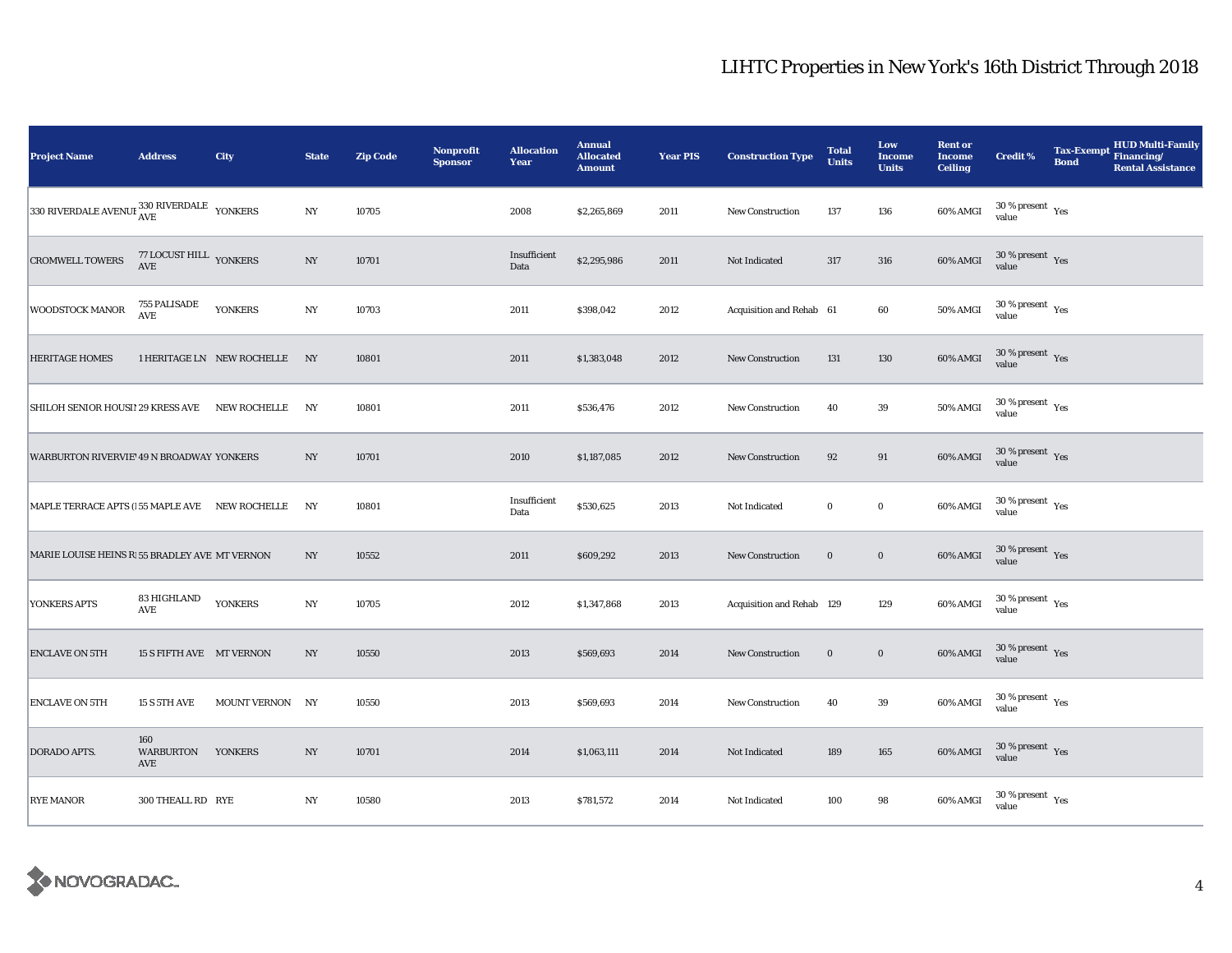| <b>Project Name</b>                                           | <b>Address</b>                      | City                          | <b>State</b>     | <b>Zip Code</b> | <b>Nonprofit</b><br><b>Sponsor</b> | <b>Allocation</b><br>Year | <b>Annual</b><br><b>Allocated</b><br><b>Amount</b> | <b>Year PIS</b> | <b>Construction Type</b>  | <b>Total</b><br><b>Units</b> | Low<br><b>Income</b><br><b>Units</b> | <b>Rent or</b><br><b>Income</b><br><b>Ceiling</b> | <b>Credit %</b>                              | <b>Tax-Exempt</b><br><b>Bond</b> | <b>HUD Multi-Family</b><br>Financing/<br><b>Rental Assistance</b> |
|---------------------------------------------------------------|-------------------------------------|-------------------------------|------------------|-----------------|------------------------------------|---------------------------|----------------------------------------------------|-----------------|---------------------------|------------------------------|--------------------------------------|---------------------------------------------------|----------------------------------------------|----------------------------------|-------------------------------------------------------------------|
| 330 RIVERDALE AVENUE $_{\rm AVE}^{330\rm\,RIVERDALE}$ YONKERS |                                     |                               | $_{\mathrm{NY}}$ | 10705           |                                    | 2008                      | \$2,265,869                                        | 2011            | New Construction          | 137                          | 136                                  | 60% AMGI                                          | $30\,\%$ present $\,$ Yes value              |                                  |                                                                   |
| <b>CROMWELL TOWERS</b>                                        | 77 LOCUST HILL YONKERS<br>AVE       |                               | $_{\mathrm{NY}}$ | 10701           |                                    | Insufficient<br>Data      | \$2,295,986                                        | 2011            | Not Indicated             | 317                          | 316                                  | <b>60% AMGI</b>                                   | $30\,\%$ present $\,$ Yes<br>value           |                                  |                                                                   |
| <b>WOODSTOCK MANOR</b>                                        | 755 PALISADE<br>AVE                 | <b>YONKERS</b>                | $_{\mathrm{NY}}$ | 10703           |                                    | 2011                      | \$398,042                                          | 2012            | Acquisition and Rehab 61  |                              | 60                                   | 50% AMGI                                          | $30\,\%$ present $\,$ Yes value              |                                  |                                                                   |
| <b>HERITAGE HOMES</b>                                         |                                     | 1 HERITAGE LN NEW ROCHELLE NY |                  | 10801           |                                    | 2011                      | \$1,383,048                                        | 2012            | New Construction          | 131                          | 130                                  | 60% AMGI                                          | $30\,\%$ present $\,$ Yes value              |                                  |                                                                   |
| SHILOH SENIOR HOUSI! 29 KRESS AVE NEW ROCHELLE                |                                     |                               | NY               | 10801           |                                    | 2011                      | \$536,476                                          | 2012            | <b>New Construction</b>   | 40                           | 39                                   | 50% AMGI                                          | $30$ % present $\rm\thinspace\,Yes$<br>value |                                  |                                                                   |
| WARBURTON RIVERVIE' 49 N BROADWAY YONKERS                     |                                     |                               | $_{\mathrm{NY}}$ | 10701           |                                    | 2010                      | \$1,187,085                                        | 2012            | New Construction          | 92                           | 91                                   | 60% AMGI                                          | $30\,\%$ present $\,$ Yes value              |                                  |                                                                   |
| MAPLE TERRACE APTS (155 MAPLE AVE NEW ROCHELLE                |                                     |                               | NY               | 10801           |                                    | Insufficient<br>Data      | \$530,625                                          | 2013            | Not Indicated             | $\bf{0}$                     | $\mathbf 0$                          | 60% AMGI                                          | $30\,\%$ present $\,$ Yes value              |                                  |                                                                   |
| MARIE LOUISE HEINS R 55 BRADLEY AVE MT VERNON                 |                                     |                               | $_{\mathrm{NY}}$ | 10552           |                                    | 2011                      | \$609,292                                          | 2013            | New Construction          | $\bf{0}$                     | $\bf{0}$                             | 60% AMGI                                          | $30\,\%$ present $\,$ Yes value              |                                  |                                                                   |
| YONKERS APTS                                                  | 83 HIGHLAND<br>$\operatorname{AVE}$ | <b>YONKERS</b>                | $_{\mathrm{NY}}$ | 10705           |                                    | 2012                      | \$1,347,868                                        | 2013            | Acquisition and Rehab 129 |                              | 129                                  | 60% AMGI                                          | $30\,\%$ present $\,$ Yes value              |                                  |                                                                   |
| <b>ENCLAVE ON 5TH</b>                                         | 15 S FIFTH AVE MT VERNON            |                               | NY               | 10550           |                                    | 2013                      | \$569,693                                          | 2014            | <b>New Construction</b>   | $\bf{0}$                     | $\mathbf 0$                          | 60% AMGI                                          | $30\,\%$ present $\,$ Yes value              |                                  |                                                                   |
| <b>ENCLAVE ON 5TH</b>                                         | <b>15 S 5TH AVE</b>                 | MOUNT VERNON NY               |                  | 10550           |                                    | 2013                      | \$569,693                                          | 2014            | <b>New Construction</b>   | 40                           | $39\,$                               | 60% AMGI                                          | $30\,\%$ present $\,$ Yes value              |                                  |                                                                   |
| <b>DORADO APTS.</b>                                           | 160<br>WARBURTON YONKERS<br>AVE     |                               | NY               | 10701           |                                    | 2014                      | \$1,063,111                                        | 2014            | Not Indicated             | 189                          | 165                                  | 60% AMGI                                          | $30\,\%$ present $\,$ Yes value              |                                  |                                                                   |
| <b>RYE MANOR</b>                                              | 300 THEALL RD RYE                   |                               | NY               | 10580           |                                    | 2013                      | \$781,572                                          | 2014            | Not Indicated             | 100                          | 98                                   | 60% AMGI                                          | $30$ % present $\,$ $\rm Yes$<br>value       |                                  |                                                                   |

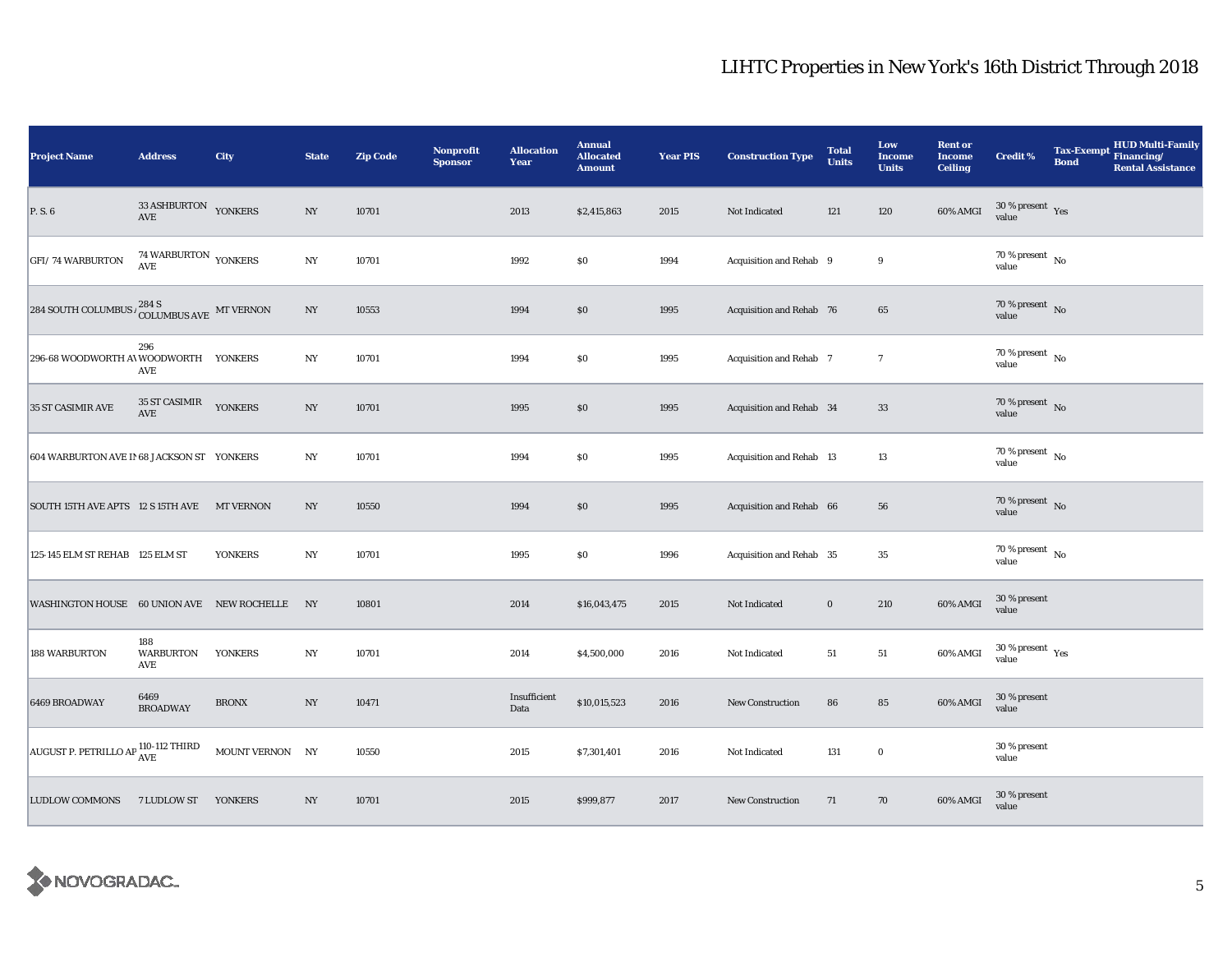| <b>Project Name</b>                                                        | <b>Address</b>                           | City             | <b>State</b>     | <b>Zip Code</b> | <b>Nonprofit</b><br><b>Sponsor</b> | <b>Allocation</b><br>Year | <b>Annual</b><br><b>Allocated</b><br><b>Amount</b> | <b>Year PIS</b> | <b>Construction Type</b> | <b>Total</b><br><b>Units</b> | Low<br><b>Income</b><br><b>Units</b> | <b>Rent or</b><br><b>Income</b><br><b>Ceiling</b> | <b>Credit %</b>                      | HUD Multi-Family<br><b>Tax-Exempt</b><br>Financing/<br><b>Bond</b><br><b>Rental Assistance</b> |
|----------------------------------------------------------------------------|------------------------------------------|------------------|------------------|-----------------|------------------------------------|---------------------------|----------------------------------------------------|-----------------|--------------------------|------------------------------|--------------------------------------|---------------------------------------------------|--------------------------------------|------------------------------------------------------------------------------------------------|
| P. S. 6                                                                    | $33\overline{\rm ASHBURTON}$ YONKERS AVE |                  | $_{\mathrm{NY}}$ | 10701           |                                    | 2013                      | \$2,415,863                                        | 2015            | Not Indicated            | 121                          | 120                                  | 60% AMGI                                          | $30\,\%$ present $\,$ Yes value      |                                                                                                |
| <b>GFI/74 WARBURTON</b>                                                    | 74 WARBURTON YONKERS<br>AVE              |                  | $_{\mathrm{NY}}$ | 10701           |                                    | 1992                      | \$0                                                | 1994            | Acquisition and Rehab 9  |                              | 9                                    |                                                   | $70$ % present $\,$ No $\,$<br>value |                                                                                                |
| 284 SOUTH COLUMBUS $\iota_{\text{COLUMBUS AVE}}^{284 \text{ S}}$ MT VERNON |                                          |                  | $_{\mathrm{NY}}$ | 10553           |                                    | 1994                      | \$0                                                | 1995            | Acquisition and Rehab 76 |                              | 65                                   |                                                   | $70\,\%$ present $\,$ No value       |                                                                                                |
| 296-68 WOODWORTH AVWOODWORTH YONKERS                                       | 296<br>AVE                               |                  | NY               | 10701           |                                    | 1994                      | $\$0$                                              | 1995            | Acquisition and Rehab 7  |                              | $\overline{7}$                       |                                                   | 70 % present $\hbox{~No}$<br>value   |                                                                                                |
| 35 ST CASIMIR AVE                                                          | 35 ST CASIMIR<br>AVE                     | <b>YONKERS</b>   | $_{\mathrm{NY}}$ | 10701           |                                    | 1995                      | $\$0$                                              | 1995            | Acquisition and Rehab 34 |                              | $33\,$                               |                                                   | $70\,\%$ present $\,$ No value       |                                                                                                |
| 604 WARBURTON AVE II 68 JACKSON ST YONKERS                                 |                                          |                  | NY               | 10701           |                                    | 1994                      | $\$0$                                              | 1995            | Acquisition and Rehab 13 |                              | 13                                   |                                                   | 70 % present $\hbox{~No}$<br>value   |                                                                                                |
| SOUTH 15TH AVE APTS 12 S 15TH AVE                                          |                                          | <b>MT VERNON</b> | NY               | 10550           |                                    | 1994                      | \$0                                                | 1995            | Acquisition and Rehab 66 |                              | 56                                   |                                                   | $70\,\%$ present $\,$ No value       |                                                                                                |
| 125-145 ELM ST REHAB 125 ELM ST                                            |                                          | <b>YONKERS</b>   | NY               | 10701           |                                    | 1995                      | $\$0$                                              | 1996            | Acquisition and Rehab 35 |                              | $35\,$                               |                                                   | $70$ % present $\,$ No $\,$<br>value |                                                                                                |
| WASHINGTON HOUSE 60 UNION AVE NEW ROCHELLE NY                              |                                          |                  |                  | 10801           |                                    | 2014                      | \$16,043,475                                       | 2015            | Not Indicated            | $\bf{0}$                     | 210                                  | 60% AMGI                                          | 30 % present<br>value                |                                                                                                |
| <b>188 WARBURTON</b>                                                       | 188<br><b>WARBURTON</b><br>AVE           | <b>YONKERS</b>   | NY               | 10701           |                                    | 2014                      | \$4,500,000                                        | 2016            | Not Indicated            | 51                           | ${\bf 51}$                           | 60% AMGI                                          | $30\,\%$ present $\,$ Yes value      |                                                                                                |
| 6469 BROADWAY                                                              | 6469<br><b>BROADWAY</b>                  | <b>BRONX</b>     | NY               | 10471           |                                    | Insufficient<br>Data      | \$10,015,523                                       | 2016            | <b>New Construction</b>  | 86                           | 85                                   | 60% AMGI                                          | 30 % present<br>value                |                                                                                                |
| AUGUST P. PETRILLO AP $_{\rm AVE}^{110-112}$ THIRD                         |                                          | MOUNT VERNON NY  |                  | 10550           |                                    | 2015                      | \$7,301,401                                        | 2016            | Not Indicated            | 131                          | $\bf{0}$                             |                                                   | 30 % present<br>value                |                                                                                                |
| LUDLOW COMMONS 7 LUDLOW ST YONKERS                                         |                                          |                  | NY               | 10701           |                                    | 2015                      | \$999,877                                          | 2017            | New Construction         | 71                           | 70                                   | 60% AMGI                                          | 30 % present<br>value                |                                                                                                |

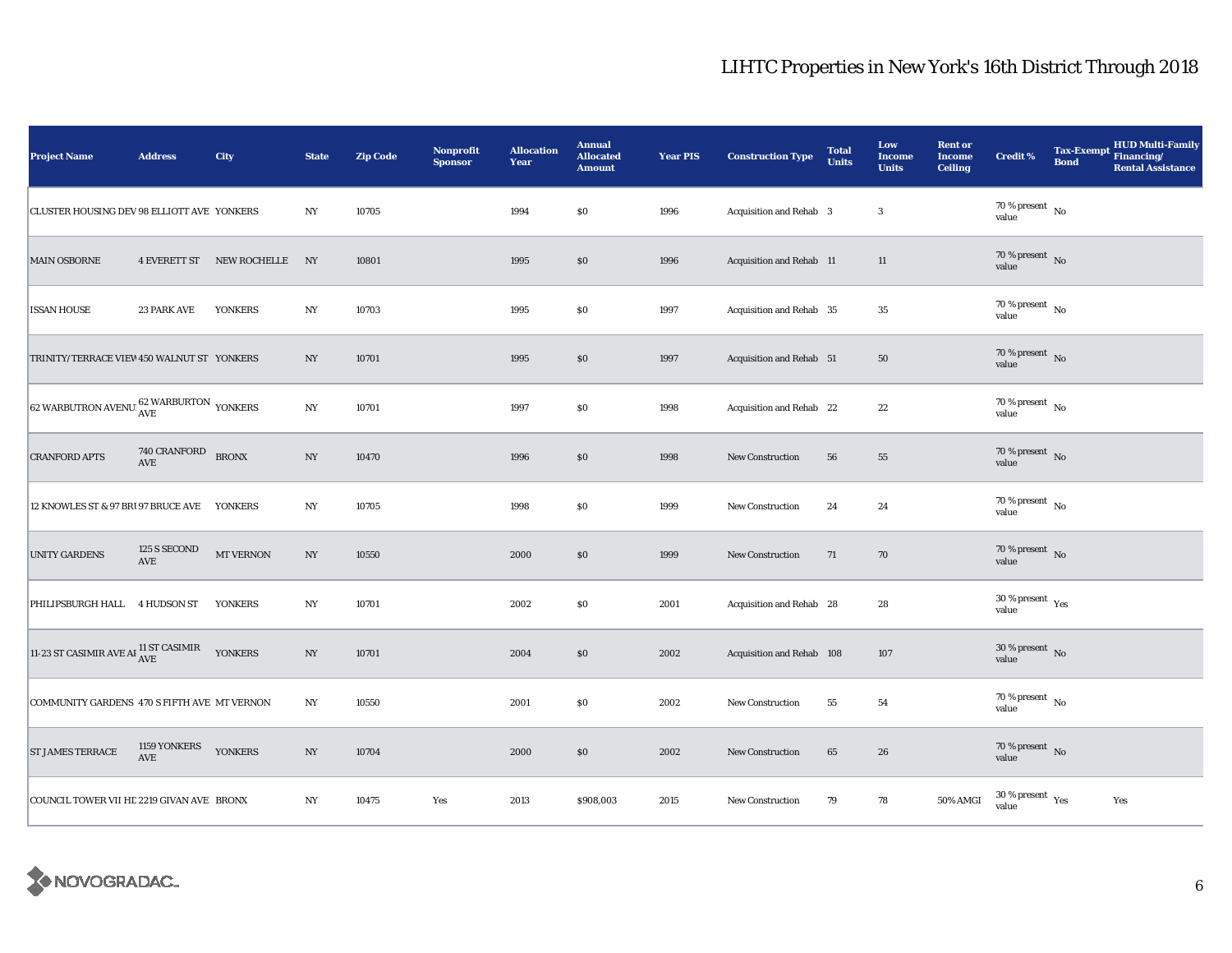| <b>Project Name</b>                                          | <b>Address</b>               | City                         | <b>State</b>     | <b>Zip Code</b> | <b>Nonprofit</b><br><b>Sponsor</b> | <b>Allocation</b><br>Year | <b>Annual</b><br><b>Allocated</b><br><b>Amount</b> | <b>Year PIS</b> | <b>Construction Type</b>  | <b>Total</b><br><b>Units</b> | Low<br><b>Income</b><br><b>Units</b> | <b>Rent or</b><br><b>Income</b><br><b>Ceiling</b> | <b>Credit %</b>                          | <b>Bond</b> | Tax-Exempt HUD Multi-Family<br><b>Rental Assistance</b> |
|--------------------------------------------------------------|------------------------------|------------------------------|------------------|-----------------|------------------------------------|---------------------------|----------------------------------------------------|-----------------|---------------------------|------------------------------|--------------------------------------|---------------------------------------------------|------------------------------------------|-------------|---------------------------------------------------------|
| CLUSTER HOUSING DEV 98 ELLIOTT AVE YONKERS                   |                              |                              | NY               | 10705           |                                    | 1994                      | \$0                                                | 1996            | Acquisition and Rehab 3   |                              | $\boldsymbol{3}$                     |                                                   | $70\,\%$ present $\,$ No value           |             |                                                         |
| <b>MAIN OSBORNE</b>                                          |                              | 4 EVERETT ST NEW ROCHELLE NY |                  | 10801           |                                    | 1995                      | $\$0$                                              | 1996            | Acquisition and Rehab 11  |                              | 11                                   |                                                   | 70 % present $\,$ No $\,$<br>value       |             |                                                         |
| <b>ISSAN HOUSE</b>                                           | <b>23 PARK AVE</b>           | <b>YONKERS</b>               | NY               | 10703           |                                    | 1995                      | \$0                                                | 1997            | Acquisition and Rehab 35  |                              | 35                                   |                                                   | $70$ % present $\,$ No $\,$<br>value     |             |                                                         |
| TRINITY/TERRACE VIEW 450 WALNUT ST YONKERS                   |                              |                              | NY               | 10701           |                                    | 1995                      | \$0                                                | 1997            | Acquisition and Rehab 51  |                              | 50                                   |                                                   | 70 % present $\,$ No $\,$<br>value       |             |                                                         |
| 62 WARBUTRON AVENUE $_{\rm AVE}^{62}$ WARBURTON YONKERS      |                              |                              | $_{\mathrm{NY}}$ | 10701           |                                    | 1997                      | \$0                                                | 1998            | Acquisition and Rehab 22  |                              | $\bf{22}$                            |                                                   | $70$ % present $\,$ No $\,$<br>value     |             |                                                         |
| <b>CRANFORD APTS</b>                                         | $740$ CRANFORD $$\tt BRONX$$ |                              | $_{\mathrm{NY}}$ | 10470           |                                    | 1996                      | \$0                                                | 1998            | <b>New Construction</b>   | 56                           | 55                                   |                                                   | $70\,\%$ present $\,$ No value           |             |                                                         |
| 12 KNOWLES ST & 97 BR1 97 BRUCE AVE YONKERS                  |                              |                              | $_{\mathrm{NY}}$ | 10705           |                                    | 1998                      | \$0                                                | 1999            | <b>New Construction</b>   | 24                           | 24                                   |                                                   | 70 % present $\hbox{~No}$<br>value       |             |                                                         |
| <b>UNITY GARDENS</b>                                         | 125 S SECOND<br>AVE          | <b>MT VERNON</b>             | $_{\mathrm{NY}}$ | 10550           |                                    | 2000                      | \$0                                                | 1999            | New Construction          | 71                           | 70                                   |                                                   | $70\,\%$ present $\,$ No value           |             |                                                         |
| PHILIPSBURGH HALL 4 HUDSON ST YONKERS                        |                              |                              | $_{\mathrm{NY}}$ | 10701           |                                    | 2002                      | \$0                                                | 2001            | Acquisition and Rehab 28  |                              | 28                                   |                                                   | 30 % present $\gamma_{\rm{es}}$<br>value |             |                                                         |
| 11-23 ST CASIMIR AVE AI $_{\rm AVE}^{11}$ ST CASIMIR YONKERS |                              |                              | $_{\mathrm{NY}}$ | 10701           |                                    | 2004                      | \$0                                                | 2002            | Acquisition and Rehab 108 |                              | 107                                  |                                                   | $30\,\%$ present $\,$ No value           |             |                                                         |
| COMMUNITY GARDENS 470 S FIFTH AVE MT VERNON                  |                              |                              | NY               | 10550           |                                    | 2001                      | \$0                                                | 2002            | <b>New Construction</b>   | 55                           | 54                                   |                                                   | 70 % present $\hbox{~No}$<br>value       |             |                                                         |
| <b>ST JAMES TERRACE</b>                                      | 1159 YONKERS<br>AVE          | <b>YONKERS</b>               | $_{\mathrm{NY}}$ | 10704           |                                    | 2000                      | \$0                                                | 2002            | New Construction          | 65                           | 26                                   |                                                   | 70 % present $\,$ No $\,$<br>value       |             |                                                         |
| COUNCIL TOWER VII HE 2219 GIVAN AVE BRONX                    |                              |                              | NY               | 10475           | Yes                                | 2013                      | \$908,003                                          | 2015            | New Construction          | 79                           | 78                                   | 50% AMGI                                          | $30\,\%$ present $\,$ $\rm Yes$<br>value |             | Yes                                                     |

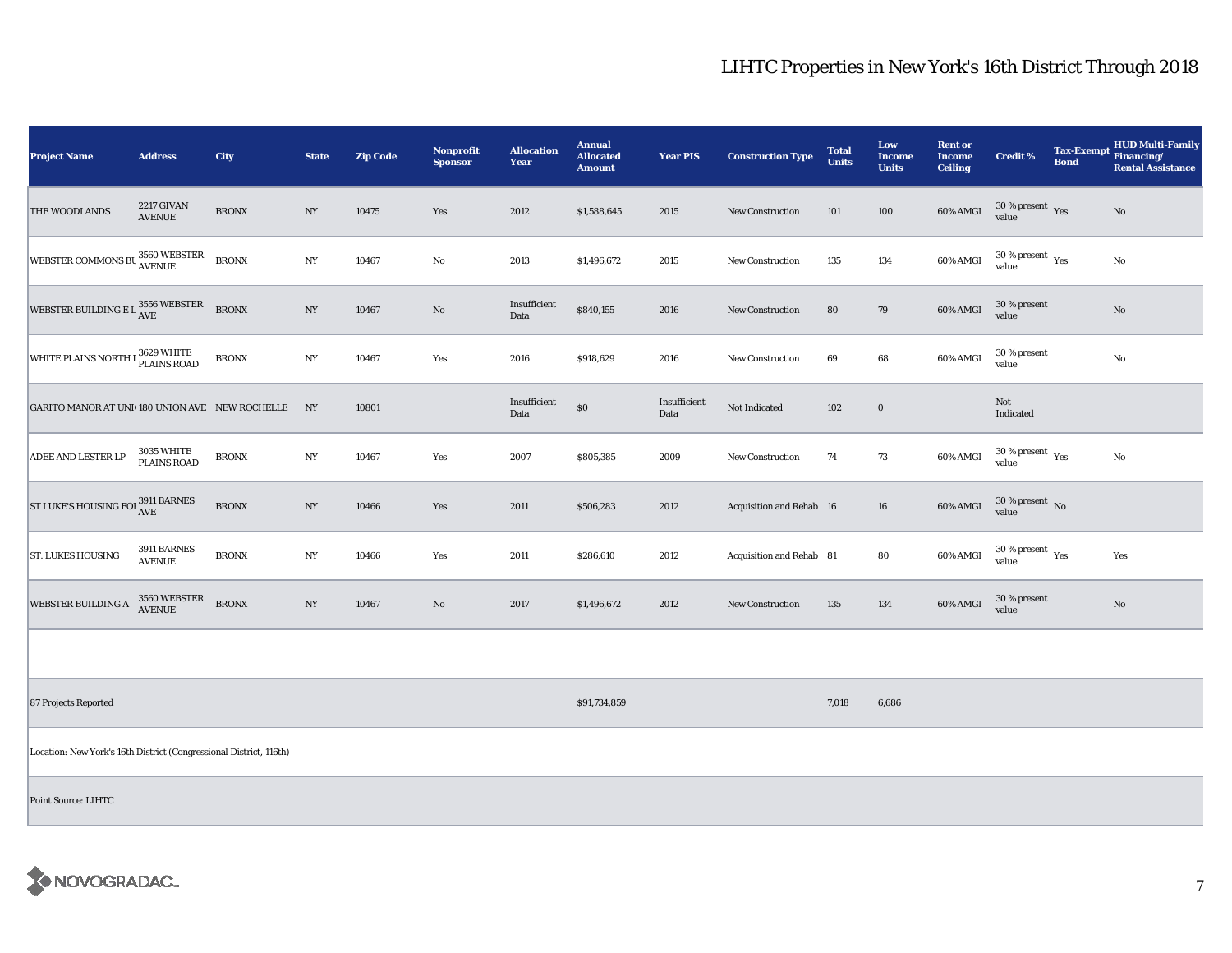| <b>Project Name</b>                                                | <b>Address</b>                          | City         | <b>State</b>     | <b>Zip Code</b> | <b>Nonprofit</b><br><b>Sponsor</b> | <b>Allocation</b><br>Year | <b>Annual</b><br><b>Allocated</b><br><b>Amount</b> | <b>Year PIS</b>      | <b>Construction Type</b> | <b>Total</b><br><b>Units</b> | Low<br><b>Income</b><br><b>Units</b> | <b>Rent or</b><br><b>Income</b><br><b>Ceiling</b> | <b>Credit %</b>                              | <b>Bond</b> | <b>HUD Multi-Family</b><br>Tax-Exempt Financing/<br><b>Rental Assistance</b> |
|--------------------------------------------------------------------|-----------------------------------------|--------------|------------------|-----------------|------------------------------------|---------------------------|----------------------------------------------------|----------------------|--------------------------|------------------------------|--------------------------------------|---------------------------------------------------|----------------------------------------------|-------------|------------------------------------------------------------------------------|
| <b>THE WOODLANDS</b>                                               | <b>2217 GIVAN</b><br><b>AVENUE</b>      | <b>BRONX</b> | $_{\mathrm{NY}}$ | 10475           | Yes                                | 2012                      | \$1,588,645                                        | 2015                 | <b>New Construction</b>  | 101                          | 100                                  | 60% AMGI                                          | $30\,\%$ present $\,$ Yes value              |             | $\mathbf{N}\mathbf{o}$                                                       |
| WEBSTER COMMONS BU 3560 WEBSTER                                    |                                         | <b>BRONX</b> | $_{\mathrm{NY}}$ | 10467           | $\rm No$                           | 2013                      | \$1,496,672                                        | 2015                 | <b>New Construction</b>  | 135                          | 134                                  | 60% AMGI                                          | $30$ % present $\,$ $\rm Yes$<br>value       |             | $\rm No$                                                                     |
| WEBSTER BUILDING E L $^{3556}_{\rm{AVE}}$                          |                                         | <b>BRONX</b> | NY               | 10467           | $\rm No$                           | Insufficient<br>Data      | \$840,155                                          | 2016                 | <b>New Construction</b>  | 80                           | 79                                   | 60% AMGI                                          | 30 % present<br>value                        |             | $\mathbf{N}\mathbf{o}$                                                       |
| WHITE PLAINS NORTH I <sup>3629</sup> WHITE                         |                                         | <b>BRONX</b> | $_{\mathrm{NY}}$ | 10467           | Yes                                | 2016                      | \$918,629                                          | 2016                 | <b>New Construction</b>  | 69                           | 68                                   | 60% AMGI                                          | 30 % present<br>value                        |             | $\rm No$                                                                     |
| GARITO MANOR AT UNI(180 UNION AVE NEW ROCHELLE NY                  |                                         |              |                  | 10801           |                                    | Insufficient<br>Data      | $\$0$                                              | Insufficient<br>Data | Not Indicated            | 102                          | $\mathbf 0$                          |                                                   | Not<br>Indicated                             |             |                                                                              |
| ADEE AND LESTER LP                                                 | <b>3035 WHITE</b><br><b>PLAINS ROAD</b> | <b>BRONX</b> | NY               | 10467           | Yes                                | 2007                      | \$805,385                                          | 2009                 | New Construction         | 74                           | 73                                   | 60% AMGI                                          | $30$ % present $\rm\thinspace\,Yes$<br>value |             | No                                                                           |
| ST LUKE'S HOUSING FOI $^{3911}_{\hbox{AVE}}$ BARNES                |                                         | <b>BRONX</b> | $_{\mathrm{NY}}$ | 10466           | Yes                                | 2011                      | \$506,283                                          | 2012                 | Acquisition and Rehab 16 |                              | 16                                   | 60% AMGI                                          | $30\,\%$ present $\,$ No $\,$<br>value       |             |                                                                              |
| <b>ST. LUKES HOUSING</b>                                           | 3911 BARNES<br><b>AVENUE</b>            | <b>BRONX</b> | NY               | 10466           | Yes                                | 2011                      | \$286,610                                          | 2012                 | Acquisition and Rehab 81 |                              | 80                                   | 60% AMGI                                          | $30$ % present $\,$ $\rm Yes$<br>value       |             | Yes                                                                          |
| WEBSTER BUILDING A                                                 | 3560 WEBSTER<br>AVENUE                  | <b>BRONX</b> | $_{\mathrm{NY}}$ | 10467           | $\mathbf{N}\mathbf{o}$             | 2017                      | \$1,496,672                                        | 2012                 | <b>New Construction</b>  | 135                          | 134                                  | 60% AMGI                                          | 30 % present<br>value                        |             | No                                                                           |
|                                                                    |                                         |              |                  |                 |                                    |                           |                                                    |                      |                          |                              |                                      |                                                   |                                              |             |                                                                              |
| 87 Projects Reported                                               |                                         |              |                  |                 |                                    |                           | \$91,734,859                                       |                      |                          | 7,018                        | 6,686                                |                                                   |                                              |             |                                                                              |
| Location: New York's 16th District (Congressional District, 116th) |                                         |              |                  |                 |                                    |                           |                                                    |                      |                          |                              |                                      |                                                   |                                              |             |                                                                              |
| <b>Point Source: LIHTC</b>                                         |                                         |              |                  |                 |                                    |                           |                                                    |                      |                          |                              |                                      |                                                   |                                              |             |                                                                              |